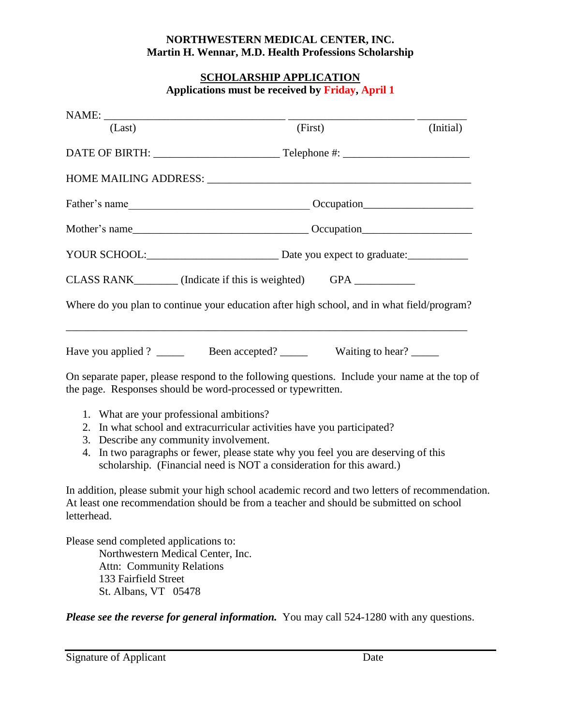## **NORTHWESTERN MEDICAL CENTER, INC. Martin H. Wennar, M.D. Health Professions Scholarship**

## **SCHOLARSHIP APPLICATION Applications must be received by Friday, April 1**

| (Last) | (First)                                                                                                                         | (Initial) |
|--------|---------------------------------------------------------------------------------------------------------------------------------|-----------|
|        |                                                                                                                                 |           |
|        |                                                                                                                                 |           |
|        |                                                                                                                                 |           |
|        |                                                                                                                                 |           |
|        |                                                                                                                                 |           |
|        | CLASS RANK_________ (Indicate if this is weighted) GPA __________                                                               |           |
|        | Where do you plan to continue your education after high school, and in what field/program?                                      |           |
|        |                                                                                                                                 |           |
|        | $\Omega$ , and solve a series of the second of the full second second contract the funds of second contract that the $\epsilon$ |           |

On separate paper, please respond to the following questions. Include your name at the top of the page. Responses should be word-processed or typewritten.

- 1. What are your professional ambitions?
- 2. In what school and extracurricular activities have you participated?
- 3. Describe any community involvement.
- 4. In two paragraphs or fewer, please state why you feel you are deserving of this scholarship. (Financial need is NOT a consideration for this award.)

In addition, please submit your high school academic record and two letters of recommendation. At least one recommendation should be from a teacher and should be submitted on school letterhead.

Please send completed applications to: Northwestern Medical Center, Inc.

Attn: Community Relations 133 Fairfield Street St. Albans, VT 05478

*Please see the reverse for general information.* You may call 524-1280 with any questions.

Signature of Applicant Date